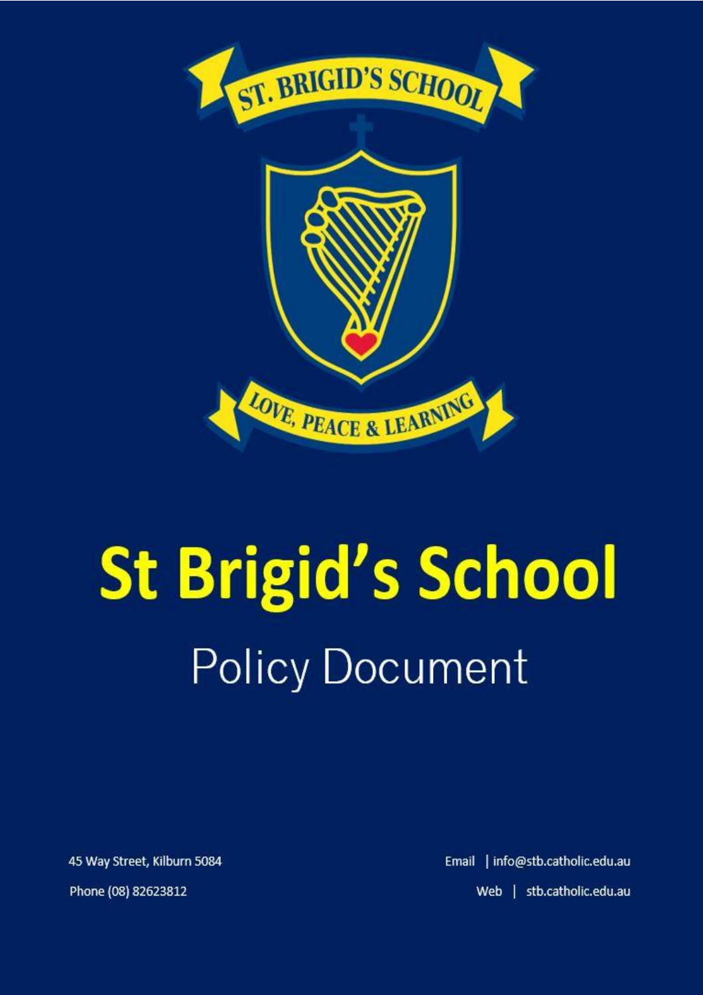

# **St Brigid's School Policy Document**

45 Way Street, Kilburn 5084 Phone (08) 82623812

Email | info@stb.catholic.edu.au Web | stb.catholic.edu.au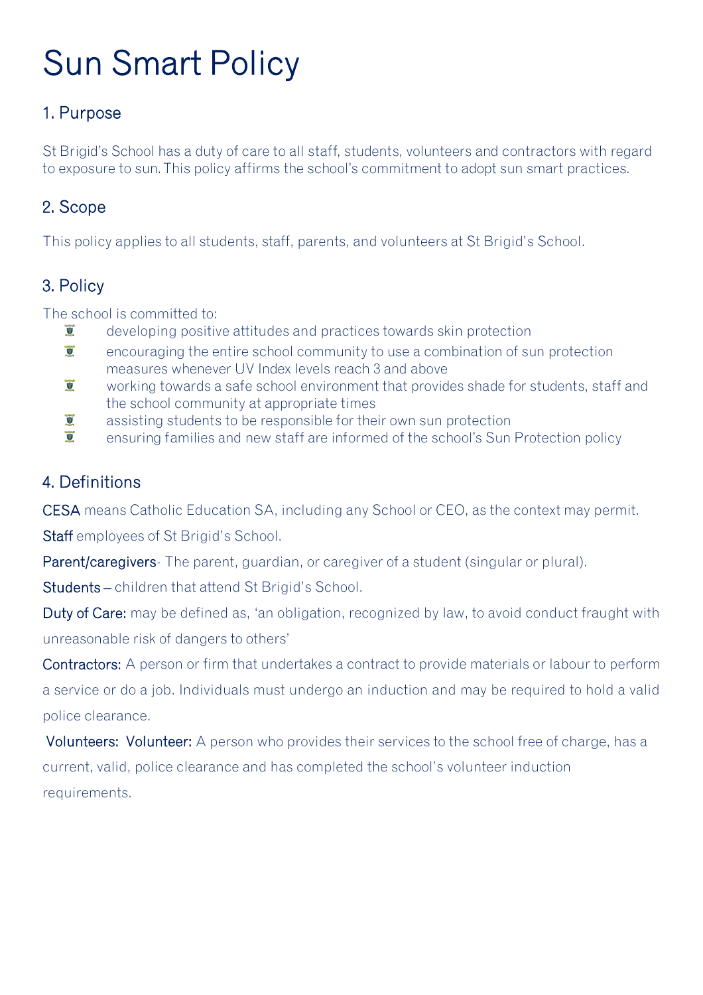# Sun Smart Policy

## 1. Purpose

St Brigid's School has a duty of care to all staff, students, volunteers and contractors with regard to exposure to sun. This policy affirms the school's commitment to adopt sun smart practices.

#### 2. Scope

This policy applies to all students, staff, parents, and volunteers at St Brigid's School.

### 3. Policy

The school is committed to:

- $\overline{9}$ developing positive attitudes and practices towards skin protection
- $\overline{\mathbf{y}}$ encouraging the entire school community to use a combination of sun protection measures whenever UV Index levels reach 3 and above
- $\overline{\bullet}$ working towards a safe school environment that provides shade for students, staff and the school community at appropriate times
- $\overline{g}$ assisting students to be responsible for their own sun protection
- $\overline{a}$ ensuring families and new staff are informed of the school's Sun Protection policy

#### 4. Definitions

CESA means Catholic Education SA, including any School or CEO, as the context may permit.

Staff employees of St Brigid's School.

Parent/caregivers- The parent, guardian, or caregiver of a student (singular or plural).

Students – children that attend St Brigid's School.

Duty of Care: may be defined as, 'an obligation, recognized by law, to avoid conduct fraught with unreasonable risk of dangers to others'

Contractors: A person or firm that undertakes a contract to provide materials or labour to perform a service or do a job. Individuals must undergo an induction and may be required to hold a valid police clearance.

Volunteers: Volunteer: A person who provides their services to the school free of charge, has a current, valid, police clearance and has completed the school's volunteer induction requirements.